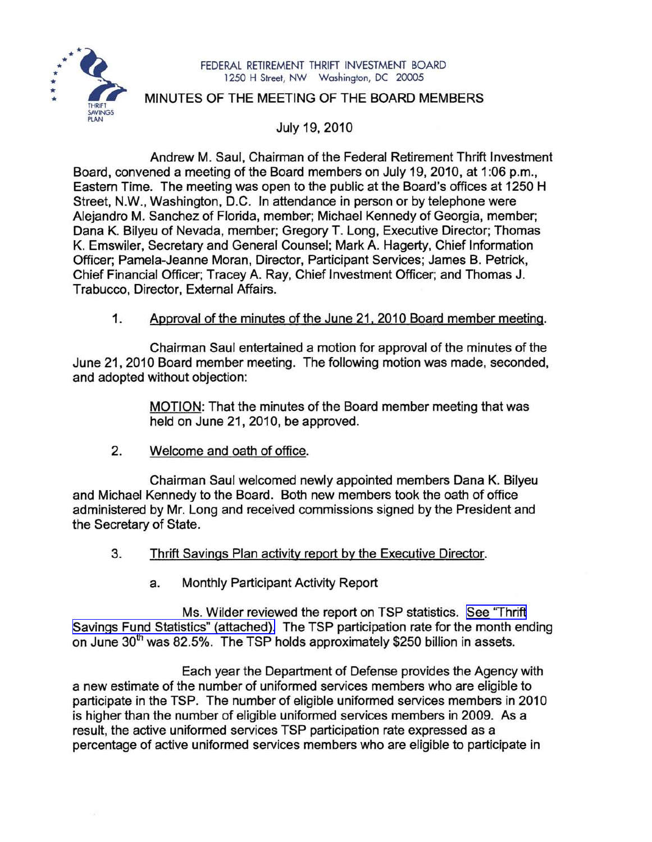

#### FEDERAL RETIREMENT THRIFT INVESTMENT BOARD 1250 H Street, NW Washington, DC 20005

# MINUTES OF THE MEETING OF THE BOARD MEMBERS

July 19, 2010

Andrew M. Saul, Chairman of the Federal Retirement Thrift Investment Board, convened a meeting of the Board members on July 19, 2010, at 1:06 p.m., Eastern Time. The meeting was open to the public at the Board's offices at 1250 H Street, N.W., Washington, D.C. In attendance in person or by telephone were Alejandro M. Sanchez of Florida, member; Michael Kennedy of Georgia, member; Dana K. Bilyeu of Nevada, member; Gregory T. Long, Executive Director; Thomas K. Emswiler, Secretary and General Counsel; Mark A. Hagerty, Chief Information Officer; Pamela-Jeanne Moran, Director, Participant Services; James B. Petrick, Chief Financial Officer; Tracey A. Ray, Chief Investment Officer; and Thomas J. Trabucco, Director, External Affairs.

# 1. Approval of the minutes of the June 21, 2010 Board member meeting.

Chairman Saul entertained a motion for approval of the minutes of the June 21, 2010 Board member meeting. The following motion was made, seconded, and adopted without objection:

> MOTION: That the minutes of the Board member meeting that was held on June 21, 2010, be approved.

2. Welcome and oath of office.

Chairman Saul welcomed newly appointed members Dana K. Bilyeu and Michael Kennedy to the Board. Both new members took the oath of office administered by Mr. Long and received commissions signed by the President and the Secretary of State.

- 3. Thrift Savings Plan activity report by the Executive Director.
	- a. Monthly Participant Activity Report

Ms. Wilder reviewed the report on TSP statistics. See ["Thrift](http://www.frtib.gov/pdf/minutes/MM-2010Jul-Att1.pdf) Savings Fund Statistics" [\(attached\).](http://www.frtib.gov/pdf/minutes/MM-2010Jul-Att1.pdf) The TSP participation rate for the month ending on June 30<sup>th</sup> was 82.5%. The TSP holds approximately \$250 billion in assets.

Each year the Department of Defense provides the Agency with a new estimate of the number of uniformed services members who are eligible to participate in the TSP. The number of eligible uniformed services members in 2010 is higher than the number of eligible uniformed services members in 2009. As a result, the active uniformed services TSP participation rate expressed as a percentage of active uniformed services members who are eligible to participate in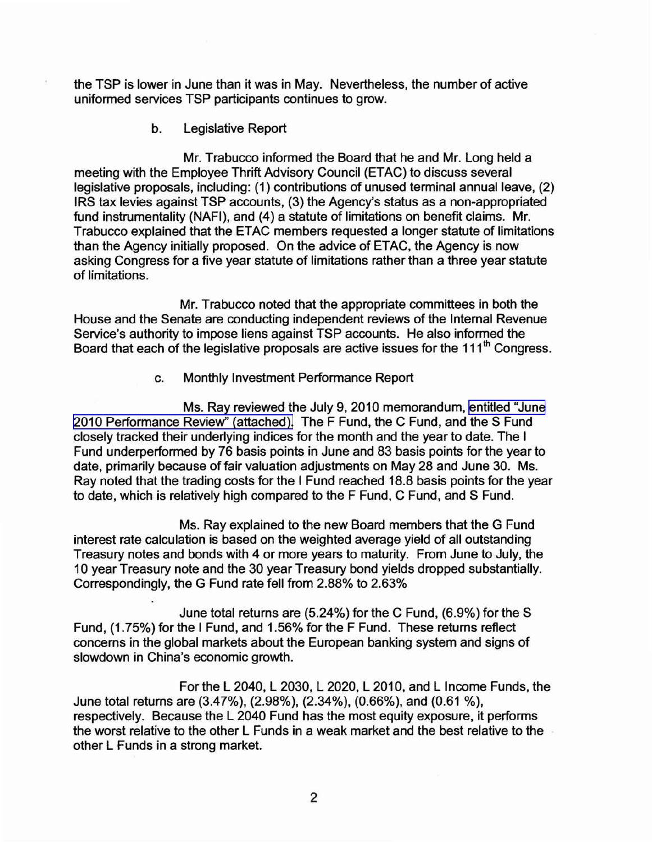the TSP is lower in June than it was in May. Nevertheless, the number of active uniformed services TSP participants continues to grow.

b. Legislative Report

Mr. Trabucco informed the Board that he and Mr. Long held a meeting with the Employee Thrift Advisory Council (ETAC) to discuss several legislative proposals, including: (1) contributions of unused terminal annual leave, (2) IRS tax levies against TSP accounts, (3) the Agency's status as a non-appropriated fund instrumentality (NAFI), and (4) a statute of limitations on benefit claims. Mr. Trabucco explained that the ETAC members requested a longer statute of limitations than the Agency initially proposed. On the advice of ETAC, the Agency is now asking Congress for a five year statute of limitations rather than a three year statute of limitations.

Mr. Trabucco noted that the appropriate committees in both the House and the Senate are conducting independent reviews of the Internal Revenue Service's authority to impose liens against TSP accounts. He also informed the Board that each of the legislative proposals are active issues for the  $111<sup>th</sup>$  Congress.

c. Monthly Investment Performance Report

Ms. Ray reviewed the July 9,2010 memorandum, [entitled](http://www.frtib.gov/pdf/minutes/MM-2010Jul-Att2.pdf) "June 2010 [Performance](http://www.frtib.gov/pdf/minutes/MM-2010Jul-Att2.pdf) Review" (attached). The F Fund, the C Fund, and the S Fund closely tracked their underlying indices for the month and the year to date. The I Fund underperformed by 76 basis points in June and 83 basis points for the year to date, primarily because of fair valuation adjustments on May 28 and June 30. Ms. Ray noted that the trading costs for the I Fund reached 18.8 basis points for the year to date, which is relatively high compared to the F Fund, C Fund, and S Fund.

Ms. Ray explained to the new Board members that the G Fund interest rate calculation is based on the weighted average yield of all outstanding Treasury notes and bonds with 4 or more years to maturity. From June to July, the 10 year Treasury note and the 30 year Treasury bond yields dropped substantially. Correspondingly, the G Fund rate fell from 2.88% to 2.63%

June total returns are (5.24%) for the C Fund, (6.9%) for the S Fund, (1.75%) for the I Fund, and 1.56% for the F Fund. These returns reflect concerns in the global markets about the European banking system and signs of slowdown in China's economic growth.

For the L 2040, L 2030, L 2020, L 2010, and L Income Funds, the June total returns are (3.47%), (2.98%), (2.34%), (0.66%), and (0.61 %), respectively. Because the L 2040 Fund has the most equity exposure, it performs the worst relative to the other L Funds in a weak market and the best relative to the other L Funds in a strong market.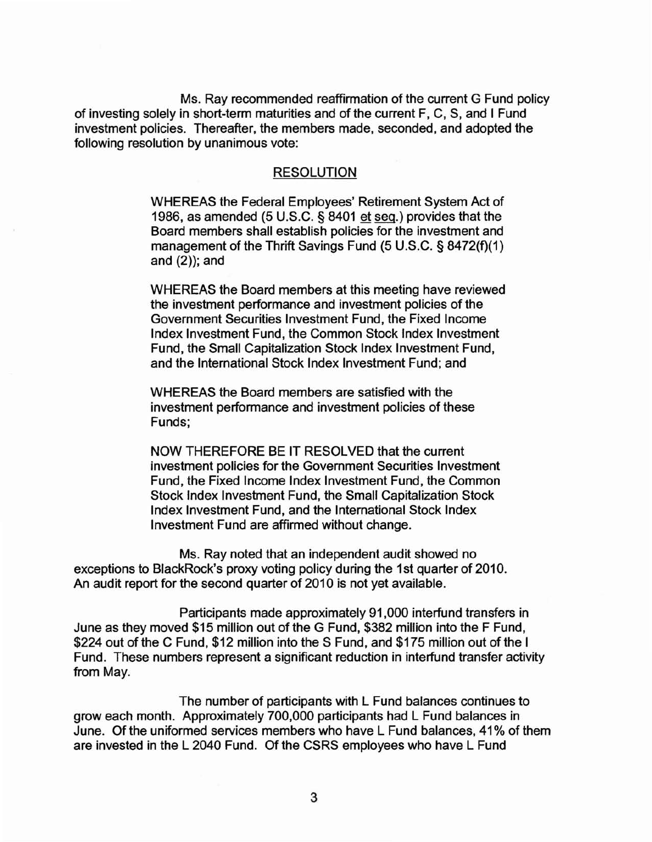Ms. Ray recommended reaffirmation of the current G Fund policy of investing solely in short-term maturities and of the current F, C, S, and I Fund investment policies. Thereafter, the members made, seconded, and adopted the following resolution by unanimous vote:

#### RESOLUTION

WHEREAS the Federal Employees' Retirement System Act of 1986, as amended (5 U.S.C. § 8401 et seq.) provides that the Board members shall establish policies for the investment and management of the Thrift Savings Fund (5 U.S.C. § 8472(f)(1) and  $(2)$ ); and

WHEREAS the Board members at this meeting have reviewed the investment performance and investment policies of the Government Securities Investment Fund, the Fixed Income Index Investment Fund, the Common Stock Index Investment Fund, the Small Capitalization Stock Index Investment Fund, and the International Stock Index Investment Fund; and

WHEREAS the Board members are satisfied with the investment performance and investment policies of these Funds;

NOW THEREFORE BE IT RESOLVED that the current investment policies for the Government Securities Investment Fund, the Fixed Income Index Investment Fund, the Common Stock Index Investment Fund, the Small Capitalization Stock Index Investment Fund, and the International Stock Index Investment Fund are affirmed without change.

Ms. Ray noted that an independent audit showed no exceptions to BlackRock's proxy voting policy during the 1st quarter of 2010. An audit report for the second quarter of 2010 is not yet available.

Participants made approximately 91,000 interfund transfers in June as they moved \$15 million out of the G Fund, \$382 million into the F Fund, \$224 out of the C Fund, \$12 million into the S Fund, and \$175 million out of the I Fund. These numbers represent a significant reduction in interfund transfer activity from May.

The number of participants with L Fund balances continues to grow each month. Approximately 700,000 participants had L Fund balances in June. Of the uniformed services members who have L Fund balances, 41 % of them are invested in the L 2040 Fund. Of the CSRS employees who have L Fund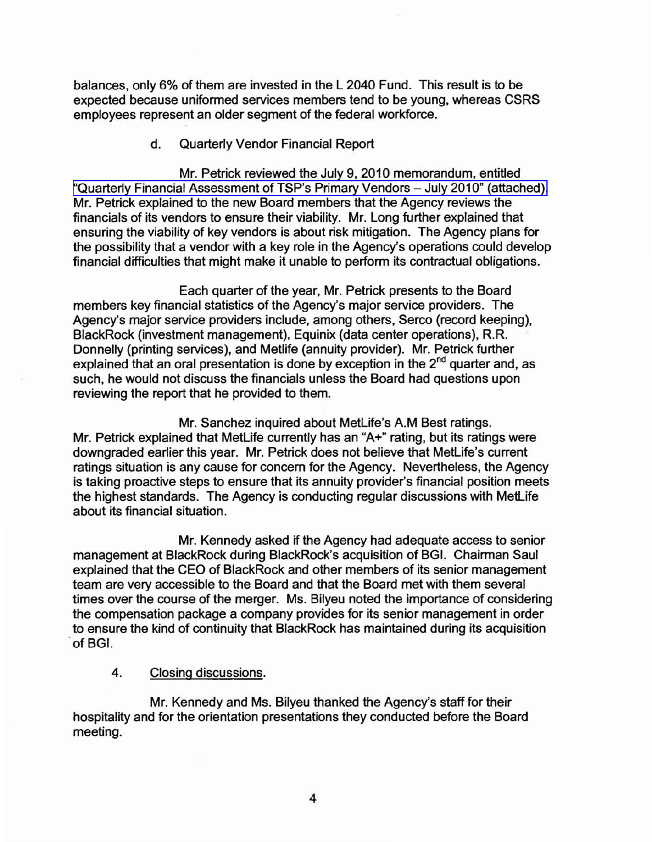balances, only 6% of them are invested in the L 2040 Fund. This result is to be expected because uniformed services members tend to be young, whereas CSRS employees represent an older segment of the federal workforce.

### d. Quarterly Vendor Financial Report

Mr. Petrick reviewed the July 9,2010 memorandum, entitled "Quarterly Financial [Assessment](http://www.frtib.gov/pdf/minutes/MM-2010Jul-Att3.pdf) of TSP's Primary Vendors - July 2010" (attached). Mr. Petrick explained to the new Board members that the Agency reviews the financials of its vendors to ensure their viability. Mr. Long further explained that ensuring the viability of key vendors is about risk mitigation. The Agency plans for the possibility that a vendor with a key role in the Agency's operations could develop financial difficulties that might make it unable to perform its contractual obligations.

Each quarter of the year, Mr. Petrick presents to the Board members key financial statistics of the Agency's major service providers. The Agency's major service providers include, among others, Serco (record keeping), BlackRock (investment management), Equinix (data center operations), R.R. Donnelly (printing services), and Metlife (annuity provider). Mr. Petrick further explained that an oral presentation is done by exception in the 2<sup>nd</sup> quarter and, as such, he would not discuss the financials unless the Board had questions upon reviewing the report that he provided to them.

Mr. Sanchez inquired about MetLife's A.M Best ratings. Mr. Petrick explained that MetLife currently has an "A+" rating, but its ratings were downgraded earlier this year. Mr. Petrick does not believe that MetLife's current ratings situation is any cause for concern for the Agency. Nevertheless, the Agency is taking proactive steps to ensure that its annuity provider's financial position meets the highest standards. The Agency is conducting regular discussions with MetLife about its financial situation.

Mr. Kennedy asked if the Agency had adequate access to senior management at BlackRock during BlackRock's acquisition of BGI. Chairman Saul explained that the CEO of BlackRock and other members of its senior management team are very accessible to the Board and that the Board met with them several times over the course of the merger. Ms. Bilyeu noted the importance of considering the compensation package a company provides for its senior management in order to ensure the kind of continuity that BlackRock has maintained during its acquisition of BGI.

### 4. Closing discussions.

Mr. Kennedy and Ms. Bilyeu thanked the Agency's staff for their hospitality and for the orientation presentations they conducted before the Board meeting.